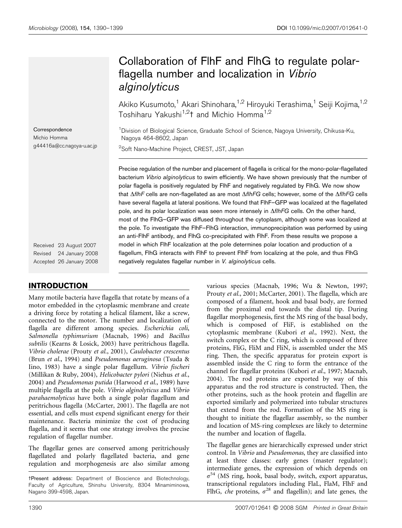# Collaboration of FlhF and FlhG to regulate polarflagella number and localization in Vibrio alginolyticus

Akiko Kusumoto,<sup>1</sup> Akari Shinohara,<sup>1,2</sup> Hiroyuki Terashima,<sup>1</sup> Seiji Kojima,<sup>1,2</sup> Toshiharu Yakushi<sup>1,2</sup>t and Michio Homma<sup>1,2</sup>

<sup>1</sup>Division of Biological Science, Graduate School of Science, Nagoya University, Chikusa-Ku, Nagoya 464-8602, Japan

<sup>2</sup>Soft Nano-Machine Project, CREST, JST, Japan

Precise regulation of the number and placement of flagella is critical for the mono-polar-flagellated bacterium Vibrio alginolyticus to swim efficiently. We have shown previously that the number of polar flagella is positively regulated by FlhF and negatively regulated by FlhG. We now show that  $\Delta f$ lhF cells are non-flagellated as are most  $\Delta f$ lhFG cells; however, some of the  $\Delta f$ lhFG cells have several flagella at lateral positions. We found that FlhF–GFP was localized at the flagellated pole, and its polar localization was seen more intensely in  $\Delta f / h$ FG cells. On the other hand, most of the FlhG–GFP was diffused throughout the cytoplasm, although some was localized at the pole. To investigate the FlhF–FlhG interaction, immunoprecipitation was performed by using an anti-FlhF antibody, and FlhG co-precipitated with FlhF. From these results we propose a model in which FlhF localization at the pole determines polar location and production of a flagellum, FlhG interacts with FlhF to prevent FlhF from localizing at the pole, and thus FlhG negatively regulates flagellar number in V. alginolyticus cells.

**Correspondence** Michio Homma g44416a@cc.nagoya-u.ac.jp

Received 23 August 2007 Revised 24 January 2008 Accepted 26 January 2008

# INTRODUCTION

Many motile bacteria have flagella that rotate by means of a motor embedded in the cytoplasmic membrane and create a driving force by rotating a helical filament, like a screw, connected to the motor. The number and localization of flagella are different among species. Escherichia coli, Salmonella typhimurium (Macnab, 1996) and Bacillus subtilis (Kearns & Losick, 2003) have peritrichous flagella. Vibrio cholerae (Prouty et al., 2001), Caulobacter crescentus (Brun et al., 1994) and Pseudomonas aeruginosa (Tsuda & Iino, 1983) have a single polar flagellum. Vibrio fischeri (Millikan & Ruby, 2004), Helicobacter pylori (Niehus et al., 2004) and Pseudomonas putida (Harwood et al., 1989) have multiple flagella at the pole. Vibrio alginolyticus and Vibrio parahaemolyticus have both a single polar flagellum and peritrichous flagella (McCarter, 2001). The flagella are not essential, and cells must expend significant energy for their maintenance. Bacteria minimize the cost of producing flagella, and it seems that one strategy involves the precise regulation of flagellar number.

The flagellar genes are conserved among peritrichously flagellated and polarly flagellated bacteria, and gene regulation and morphogenesis are also similar among various species (Macnab, 1996; Wu & Newton, 1997; Prouty et al., 2001; McCarter, 2001). The flagella, which are composed of a filament, hook and basal body, are formed from the proximal end towards the distal tip. During flagellar morphogenesis, first the MS ring of the basal body, which is composed of FliF, is established on the cytoplasmic membrane (Kubori et al., 1992). Next, the switch complex or the C ring, which is composed of three proteins, FliG, FliM and FliN, is assembled under the MS ring. Then, the specific apparatus for protein export is assembled inside the C ring to form the entrance of the channel for flagellar proteins (Kubori et al., 1997; Macnab, 2004). The rod proteins are exported by way of this apparatus and the rod structure is constructed. Then, the other proteins, such as the hook protein and flagellin are exported similarly and polymerized into tubular structures that extend from the rod. Formation of the MS ring is thought to initiate the flagellar assembly, so the number and location of MS-ring complexes are likely to determine the number and location of flagella.

The flagellar genes are hierarchically expressed under strict control. In Vibrio and Pseudomonas, they are classified into at least three classes: early genes (master regulator); intermediate genes, the expression of which depends on  $\sigma^{54}$  (MS ring, hook, basal body, switch, export apparatus, transcriptional regulators including FlaL, FlaM, FlhF and FlhG, che proteins,  $\sigma^{28}$  and flagellin); and late genes, the

tPresent address: Department of Bioscience and Biotechnology, Faculty of Agriculture, Shinshu University, 8304 Minamiminowa, Nagano 399-4598, Japan.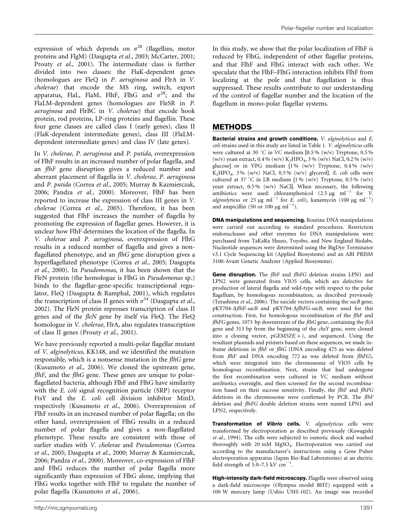expression of which depends on  $\sigma^{28}$  (flagellins, motor proteins and FlgM) (Dasgupta et al., 2003; McCarter, 2001; Prouty et al., 2001). The intermediate class is further divided into two classes: the FlaK-dependent genes (homologues are FleQ in P. aeruginosa and FlrA in V. cholerae) that encode the MS ring, switch, export apparatus, FlaL, FlaM, FlhF, FlhG and  $\sigma^{28}$ ; and the FlaLM-dependent genes (homologues are FleSR in P. aeruginosa and FlrBC in V. cholerae) that encode hook protein, rod proteins, LP-ring proteins and flagellin. These four gene classes are called class I (early genes), class II (FlaK-dependent intermediate genes), class III (FlaLMdependent intermediate genes) and class IV (late genes).

In V. cholerae, P. aeruginosa and P. putida, overexpression of FlhF results in an increased number of polar flagella, and an flhF gene disruption gives a reduced number and aberrant placement of flagella in V. cholerae, P. aeruginosa and P. putida (Correa et al., 2005; Murray & Kazmierczak, 2006; Pandza et al., 2000). Moreover, FlhF has been reported to increase the expression of class III genes in V. cholerae (Correa et al., 2005). Therefore, it has been suggested that FlhF increases the number of flagella by promoting the expression of flagellar genes. However, it is unclear how FlhF determines the location of the flagella. In V. cholerae and P. aeruginosa, overexpression of FlhG results in a reduced number of flagella and gives a nonflagellated phenotype, and an flhG gene disruption gives a hyperflagellated phenotype (Correa et al., 2005; Dasgupta et al., 2000). In Pseudomonas, it has been shown that the FleN protein (the homologue is FlhG in *Pseudomonas* sp.) binds to the flagellar-gene-specific transcriptional regulator, FleQ (Dasgupta & Ramphal, 2001), which regulates the transcription of class II genes with  $\sigma^{54}$  (Dasgupta et al., 2002). The FleN protein represses transcription of class II genes and of the fleN gene by itself via FleQ. The FleQ homologue in V. cholerae, FlrA, also regulates transcription of class II genes (Prouty et al., 2001).

We have previously reported a multi-polar flagellar mutant of V. alginolyticus, KK148, and we identified the mutation responsible, which is a nonsense mutation in the flhG gene (Kusumoto et al., 2006). We cloned the upstream gene,  $f$ lhF, and the  $f$ lh $G$  gene. These genes are unique to polarflagellated bacteria, although FlhF and FlhG have similarity with the *E. coli* signal recognition particle (SRP) receptor FtsY and the E. coli cell division inhibitor MinD, respectively (Kusumoto et al., 2006). Overexpression of FlhF results in an increased number of polar flagella; on the other hand, overexpression of FlhG results in a reduced number of polar flagella and gives a non-flagellated phenotype. These results are consistent with those of earlier studies with V. cholerae and Pseudomonas (Correa et al., 2005; Dasgupta et al., 2000; Murray & Kazmierczak, 2006; Pandza et al., 2000). Moreover, co-expression of FlhF and FlhG reduces the number of polar flagella more significantly than expression of FlhG alone, implying that FlhG works together with FlhF to regulate the number of polar flagella (Kusumoto et al., 2006).

In this study, we show that the polar localization of FlhF is reduced by FlhG, independent of other flagellar proteins, and that FlhF and FlhG interact with each other. We speculate that the FlhF–FlhG interaction inhibits FlhF from localizing at the pole and that flagellation is thus suppressed. These results contribute to our understanding of the control of flagellar number and the location of the flagellum in mono-polar flagellar systems.

# METHODS

Bacterial strains and growth conditions. V. alginolyticus and E. coli strains used in this study are listed in Table 1. V. alginolyticus cells were cultured at 30 °C in VC medium  $[0.5\%$  (w/v) Tryptone, 0.5% (w/v) yeast extract, 0.4 % (w/v) K<sub>2</sub>HPO<sub>4</sub>, 3 % (w/v) NaCl, 0.2 % (w/v) glucose] or in VPG medium [1 % (w/v) Tryptone, 0.4 % (w/v)  $K<sub>2</sub>HPO<sub>4</sub>$ , 3% (w/v) NaCl, 0.5% (w/v) glycerol]. E. coli cells were cultured at 37 °C in LB medium [1 %  $(w/v)$  Tryptone, 0.5 %  $(w/v)$ yeast extract, 0.5 % (w/v) NaCl]. When necessary, the following antibiotics were used: chloramphenicol  $(2.5 \text{ µg} \text{ ml}^{-1}$  for V. alginolyticus or 25 µg ml<sup>-1</sup> for E. coli), kanamycin (100 µg ml<sup>-1</sup>) and ampicillin (50 or 100  $\mu$ g ml<sup>-1</sup>).

DNA manipulations and sequencing. Routine DNA manipulations were carried out according to standard procedures. Restriction endonucleases and other enzymes for DNA manipulations were purchased from TaKaRa Shuzo, Toyobo, and New England Biolabs. Nucleotide sequences were determined using the BigDye Terminator v3.1 Cycle Sequencing kit (Applied Biosystems) and an ABI PRISM 3100-Avant Genetic Analyzer (Applied Biosystems).

Gene disruption. The flhF and flhFG deletion strains LPN1 and LPN2 were generated from VIO5 cells, which are defective for production of lateral flagella and wild-type with respect to the polar flagellum, by homologous recombination, as described previously (Terashima et al., 2006). The suicide vectors containing the sacB gene, pKY704- $\Delta f$ lhF-sacB and pKY704- $\Delta f$ lhFG-sacB, were used for this construction. First, for homologous recombination of the flhF and flhFG genes, 1073 bp downstream of the flhG gene, containing the fliA gene and 313 bp from the beginning of the cheY gene, were cloned into a cloning vector,  $pGEM5Zf(+)$ , and sequenced. Using the resultant plasmids and primers based on these sequences, we made inframe deletions in flhF or flhG (DNA encoding 475 aa was deleted from flhF and DNA encoding 772 aa was deleted from flhFG), which were integrated into the chromosome of VIO5 cells by homologous recombination. Next, strains that had undergone the first recombination were cultured in VC medium without antibiotics overnight, and then screened for the second recombination based on their sucrose sensitivity. Finally, the flhF and flhFG deletions in the chromosome were confirmed by PCR. The flhF deletion and flhFG double deletion strains were named LPN1 and LPN2, respectively.

Transformation of Vibrio cells. V. alginolyticus cells were transformed by electroporation as described previously (Kawagishi et al., 1994). The cells were subjected to osmotic shock and washed thoroughly with 20 mM MgSO4. Electroporation was carried out according to the manufacturer's instructions using a Gene Pulser electroporation apparatus (Japan Bio-Rad Laboratories) at an electric field strength of  $5.0-7.5$  kV cm<sup>-1</sup>.

High-intensity dark-field microscopy. Flagella were observed using a dark-field microscope (Olympus model BHT) equipped with a 100 W mercury lamp (Ushio USH-102). An image was recorded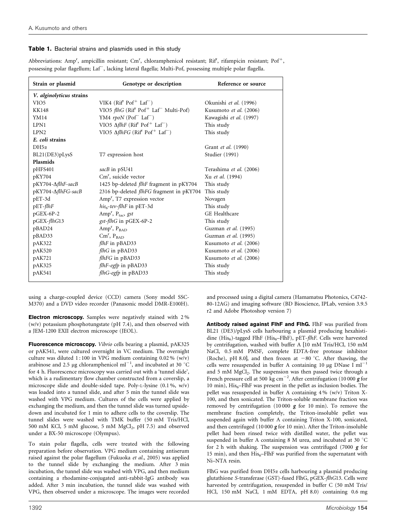#### Table 1. Bacterial strains and plasmids used in this study

Abbreviations: Amp<sup>r</sup>, ampicillin resistant; Cm<sup>r</sup>, chloramphenicol resistant; Rif<sup>r</sup>, rifampicin resistant; Pof<sup>+</sup>, possessing polar flagellum; Laf<sup>-</sup>, lacking lateral flagella; Multi-Pof, possessing multiple polar flagella.

| Strain or plasmid        | Genotype or description                                                                              | Reference or source     |
|--------------------------|------------------------------------------------------------------------------------------------------|-------------------------|
| V. alginolyticus strains |                                                                                                      |                         |
| VIO <sub>5</sub>         | VIK4 (Rif <sup>f</sup> Pof <sup>+</sup> Laf <sup>-</sup> )                                           | Okunishi et al. (1996)  |
| <b>KK148</b>             | VIO5 $flhG$ (Rif <sup><math>r</math></sup> Pof <sup>+</sup> Laf <sup><math>-</math></sup> Multi-Pof) | Kusumoto et al. (2006)  |
| YM14                     | YM4 $rpoN$ (Pof <sup>-</sup> Laf <sup>-</sup> )                                                      | Kawagishi et al. (1997) |
| LPN1                     | VIO5 ΔflhF (Rif <sup>r</sup> Pof <sup>+</sup> Laf <sup>-</sup> )                                     | This study              |
| LPN <sub>2</sub>         | VIO5 $\Delta f l h FG$ (Rif <sup>t</sup> Pof <sup>+</sup> Laf <sup>-</sup> )                         | This study              |
| E. coli strains          |                                                                                                      |                         |
| $DH5\alpha$              |                                                                                                      | Grant et al. (1990)     |
| BL21(DE3)pLysS           | T7 expression host                                                                                   | Studier (1991)          |
| Plasmids                 |                                                                                                      |                         |
| pHFS401                  | sacB in pSU41                                                                                        | Terashima et al. (2006) |
| pKY704                   | $Cmr$ , suicide vector                                                                               | Xu et al. (1994)        |
| pKY704-∆flhF-sacB        | 1425 bp-deleted <i>flhF</i> fragment in pKY704                                                       | This study              |
| pKY704-∆flhFG-sacB       | 2316 bp-deleted flhFG fragment in pKY704                                                             | This study              |
| pET-3d                   | Amp <sup>r</sup> , T7 expression vector                                                              | Novagen                 |
| $pET$ -flhF              | $his6$ -tev-flhF in pET-3d                                                                           | This study              |
| $pGEX-6P-2$              | Amp <sup>r</sup> , $P_{\text{tac}}$ , gst                                                            | GE Healthcare           |
| pGEX-flhG13              | gst-flhG in pGEX-6P-2                                                                                | This study              |
| pBAD24                   | $Amp^r$ , $P_{BAD}$                                                                                  | Guzman et al. (1995)    |
| pBAD33                   | $\text{Cm}^{\text{r}}$ , $\text{P}_{\text{BAD}}$                                                     | Guzman et al. (1995)    |
| pAK322                   | $f$ lh $F$ in pBAD33                                                                                 | Kusumoto et al. (2006)  |
| pAK520                   | flhG in pBAD33                                                                                       | Kusumoto et al. (2006)  |
| pAK721                   | flhFG in pBAD33                                                                                      | Kusumoto et al. (2006)  |
| pAK325                   | flhF-egfp in pBAD33                                                                                  | This study              |
| pAK541                   | flhG-egfp in pBAD33                                                                                  | This study              |

using a charge-coupled device (CCD) camera (Sony model SSC-M370) and a DVD video recorder (Panasonic model DMR-E100H).

Electron microscopy. Samples were negatively stained with 2% (w/v) potassium phosphotungstate (pH 7.4), and then observed with a JEM-1200 EXII electron microscope (JEOL).

Fluorescence microscopy. Vibrio cells bearing a plasmid, pAK325 or pAK541, were cultured overnight in VC medium. The overnight culture was diluted 1 : 100 in VPG medium containing 0.02 % (w/v) arabinose and 2.5 µg chloramphenicol ml<sup>-1</sup>, and incubated at 30 °C for 4 h. Fluorescence microscopy was carried out with a 'tunnel slide', which is a rudimentary flow chamber constructed from a coverslip, a microscope slide and double-sided tape. Poly-L-lysine (0.1 %, w/v) was loaded into a tunnel slide, and after 5 min the tunnel slide was washed with VPG medium. Cultures of the cells were applied by exchanging the medium, and then the tunnel slide was turned upsidedown and incubated for 1 min to adhere cells to the coverslip. The tunnel slides were washed with TMK buffer (50 mM Tris/HCl, 500 mM KCl, 5 mM glucose, 5 mM MgCl<sub>2</sub>, pH 7.5) and observed under a BX-50 microscope (Olympus).

To stain polar flagella, cells were treated with the following preparation before observation. VPG medium containing antiserum raised against the polar flagellum (Fukuoka et al., 2005) was applied to the tunnel slide by exchanging the medium. After 3 min incubation, the tunnel slide was washed with VPG, and then medium containing a rhodamine-conjugated anti-rabbit-IgG antibody was added. After 3 min incubation, the tunnel slide was washed with VPG, then observed under a microscope. The images were recorded

and processed using a digital camera (Hamamatsu Photonics, C4742- 80-12AG) and imaging software (BD Bioscience, IPLab, version 3.9.5 r2 and Adobe Photoshop version 7)

Antibody raised against FlhF and FlhG. FlhF was purified from BL21 (DE3)/pLysS cells harbouring a plasmid producing hexahistidine (His<sub>6</sub>)-tagged FlhF (His<sub>6</sub>–FlhF), pET-flhF. Cells were harvested by centrifugation, washed with buffer A [10 mM Tris/HCl, 150 mM NaCl, 0.5 mM PMSF, complete EDTA-free protease inhibitor (Roche), pH 8.0], and then frozen at  $-80$  °C. After thawing, the cells were resuspended in buffer A containing 10  $\mu$ g DNase I ml<sup>-1</sup> and 5 mM MgCl<sub>2</sub>. The suspension was then passed twice through a French pressure cell at 500 kg cm<sup>-2</sup>. After centrifugation (10 000  $\frac{1}{g}$  for 10 min),  $His<sub>6</sub>-FlhF$  was present in the pellet as inclusion bodies. The pellet was resuspended in buffer A containing 4 % (w/v) Triton X-100, and then sonicated. The Triton-soluble membrane fraction was removed by centrifugation (10000  $g$  for 10 min). To remove the membrane fraction completely, the Triton-insoluble pellet was suspended again with buffer A containing Triton X-100, sonicated, and then centrifuged (10 000 g for 10 min). After the Triton-insoluble pellet had been rinsed twice with distilled water, the pellet was suspended in buffer A containing 8 M urea, and incubated at 30  $^{\circ}$ C for 2 h with shaking. The suspension was centrifuged (7000 g for 15 min), and then  $His_{6}$ –FlhF was purified from the supernatant with Ni–NTA resin.

FlhG was purified from DH5 $\alpha$  cells harbouring a plasmid producing glutathione S-transferase (GST)-fused FlhG, pGEX-flhG13. Cells were harvested by centrifugation, resuspended in buffer C (50 mM Tris/ HCl, 150 mM NaCl, 1 mM EDTA, pH 8.0) containing 0.6 mg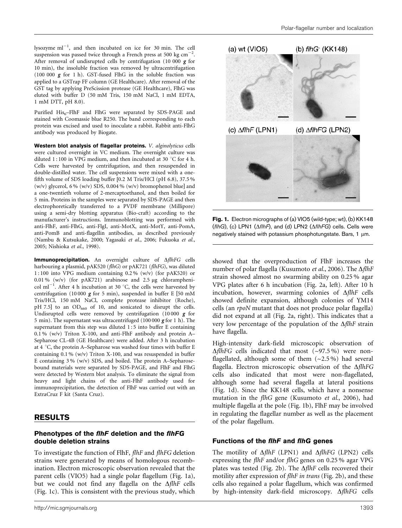lysozyme  $ml^{-1}$ , and then incubated on ice for 30 min. The cell suspension was passed twice through a French press at 500 kg  $cm^{-2}$ . After removal of undisrupted cells by centrifugation (10 000  $g$  for 10 min), the insoluble fraction was removed by ultracentrifugation (100 000 g for 1 h). GST-fused FlhG in the soluble fraction was applied to a GSTrap FF column (GE Healthcare). After removal of the GST tag by applying PreScission protease (GE Healthcare), FlhG was eluted with buffer D (50 mM Tris, 150 mM NaCl, 1 mM EDTA, 1 mM DTT, pH 8.0).

Purified  $His<sub>6</sub>–FlhF$  and FlhG were separated by SDS-PAGE and stained with Coomassie blue R250. The band corresponding to each protein was excised and used to inoculate a rabbit. Rabbit anti-FlhG antibody was produced by Biogate.

Western blot analysis of flagellar proteins. V. alginolyticus cells were cultured overnight in VC medium. The overnight culture was diluted 1:100 in VPG medium, and then incubated at 30  $^{\circ}$ C for 4 h. Cells were harvested by centrifugation, and then resuspended in double-distilled water. The cell suspensions were mixed with a onefifth volume of SDS loading buffer [0.2 M Tris/HCl (pH 6.8), 37.5 % (w/v) glycerol, 6 % (w/v) SDS, 0.004 % (w/v) bromophenol blue] and a one-twentieth volume of 2-mercaptoethanol, and then boiled for 5 min. Proteins in the samples were separated by SDS-PAGE and then electrophoretically transferred to a PVDF membrane (Millipore) using a semi-dry blotting apparatus (Bio-craft) according to the manufacturer's instructions. Immunoblotting was performed with anti-FlhF, anti-FlhG, anti-FlgI, anti-MotX, anti-MotY, anti-PomA, anti-PomB and anti-flagellin antibodies, as described previously (Nambu & Kutsukake, 2000; Yagasaki et al., 2006; Fukuoka et al., 2005; Nishioka et al., 1998).

Immunoprecipitation. An overnight culture of AflhFG cells harbouring a plasmid, pAK520 (flhG) or pAK721 (flhFG), was diluted 1 : 100 into VPG medium containing 0.2 % (w/v) (for pAK520) or 0.01 % (w/v) (for pAK721) arabinose and 2.5  $\mu$ g chloramphenicol ml<sup>-1</sup>. After 4 h incubation at 30 °C, the cells were harvested by centrifugation (10 000  $g$  for 5 min), suspended in buffer E [50 mM Tris/HCl, 150 mM NaCl, complete protease inhibitor (Roche), pH 7.5] to an OD<sub>660</sub> of 10, and sonicated to disrupt the cells. Undisrupted cells were removed by centrifugation  $(10\,000\,g)$  for 5 min). The supernatant was ultracentrifuged (100 000  $g$  for 1 h). The supernatant from this step was diluted 1 : 5 into buffer E containing 0.1 % (w/v) Triton X-100, and anti-FlhF antibody and protein A– Sepharose CL-4B (GE Healthcare) were added. After 3 h incubation at  $4^{\circ}$ C, the protein A–Sepharose was washed four times with buffer E containing 0.1 % (w/v) Triton X-100, and was resuspended in buffer E containing 3 % (w/v) SDS, and boiled. The protein A–Sepharosebound materials were separated by SDS-PAGE, and FlhF and FlhG were detected by Western blot analysis. To eliminate the signal from heavy and light chains of the anti-FlhF antibody used for immunoprecipitation, the detection of FlhF was carried out with an ExtraCruz F kit (Santa Cruz).

## RESULTS

#### Phenotypes of the flhF deletion and the flhFG double deletion strains

To investigate the function of FlhF, flhF and flhFG deletion strains were generated by means of homologous recombination. Electron microscopic observation revealed that the parent cells (VIO5) had a single polar flagellum (Fig. 1a), but we could not find any flagella on the  $\Delta f l h$ F cells (Fig. 1c). This is consistent with the previous study, which



Fig. 1. Electron micrographs of (a) VIO5 (wild-type; wt), (b) KK148 (flhG), (c) LPN1 ( $\Delta f$ lhF), and (d) LPN2 ( $\Delta f$ lhFG) cells. Cells were negatively stained with potassium phosphotungstate. Bars,  $1 \mu m$ .

showed that the overproduction of FlhF increases the number of polar flagella (Kusumoto *et al.*, 2006). The  $\Delta f l hF$ strain showed almost no swarming ability on 0.25 % agar VPG plates after 6 h incubation (Fig. 2a, left). After 10 h incubation, however, swarming colonies of  $\Delta f l h$ F cells showed definite expansion, although colonies of YM14 cells (an rpoN mutant that does not produce polar flagella) did not expand at all (Fig. 2a, right). This indicates that a very low percentage of the population of the  $\Delta f \, h \, F$  strain have flagella.

High-intensity dark-field microscopic observation of  $\Delta f l h FG$  cells indicated that most (~97.5%) were nonflagellated, although some of them  $(-2.5\%)$  had several flagella. Electron microscopic observation of the  $\Delta f l h FG$ cells also indicated that most were non-flagellated, although some had several flagella at lateral positions (Fig. 1d). Since the KK148 cells, which have a nonsense mutation in the flhG gene (Kusumoto et al., 2006), had multiple flagella at the pole (Fig. 1b), FlhF may be involved in regulating the flagellar number as well as the placement of the polar flagellum.

#### Functions of the flhF and flhG genes

The motility of  $\Delta f l h F$  (LPN1) and  $\Delta f l h F G$  (LPN2) cells expressing the flhF and/or flhG genes on 0.25 % agar VPG plates was tested (Fig. 2b). The  $\Delta f \, h \, F$  cells recovered their motility after expression of flhF in trans (Fig. 2b), and these cells also regained a polar flagellum, which was confirmed by high-intensity dark-field microscopy.  $\Delta f l h FG$  cells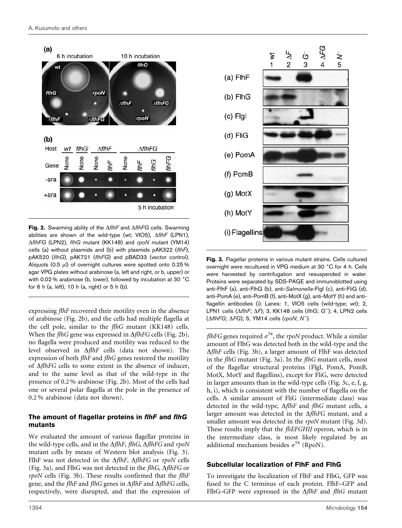

Fig. 2. Swarming ability of the  $\Delta f / hF$  and  $\Delta f / hFG$  cells. Swarming abilities are shown of the wild-type (wt; VIO5),  $\Delta f / hF$  (LPN1),  $\Delta f$ IhFG (LPN2), flhG mutant (KK148) and rpoN mutant (YM14) cells (a) without plasmids and (b) with plasmids pAK322 (flhF), pAK520 (flhG), pAK721 (flhFG) and pBAD33 (vector control). Aliquots (0.5 µl) of overnight cultures were spotted onto 0.25% agar VPG plates without arabinose (a, left and right, or b, upper) or with 0.02 % arabinose (b, lower), followed by incubation at 30  $^{\circ}$ C for 6 h (a, left), 10 h (a, right) or 5 h (b).

expressing flhF recovered their motility even in the absence of arabinose (Fig. 2b), and the cells had multiple flagella at the cell pole, similar to the flhG mutant (KK148) cells. When the flhG gene was expressed in  $\Delta f$ lhFG cells (Fig. 2b), no flagella were produced and motility was reduced to the level observed in  $\Delta f l h$ F cells (data not shown). The expression of both flhF and flhG genes restored the motility of  $\Delta f$ thFG cells to some extent in the absence of inducer, and to the same level as that of the wild-type in the presence of 0.2 % arabinose (Fig. 2b). Most of the cells had one or several polar flagella at the pole in the presence of 0.2 % arabinose (data not shown).

#### The amount of flagellar proteins in flhF and flhG mutants

We evaluated the amount of various flagellar proteins in the wild-type cells, and in the  $\Delta f$ thF, flhG,  $\Delta f$ thFG and rpoN mutant cells by means of Western blot analysis (Fig. 3). FlhF was not detected in the  $\Delta f l h F$ ,  $\Delta f l h FG$  or rpoN cells (Fig. 3a), and FlhG was not detected in the flhG,  $\Delta$ flhFG or rpoN cells (Fig. 3b). These results confirmed that the flhF gene, and the flhF and flhG genes in  $\Delta f$ lhF and  $\Delta f$ lhFG cells, respectively, were disrupted, and that the expression of



Fig. 3. Flagellar proteins in various mutant strains. Cells cultured overnight were recultured in VPG medium at 30 °C for 4 h. Cells were harvested by centrifugation and resuspended in water. Proteins were separated by SDS-PAGE and immunoblotted using anti-FlhF (a), anti-FlhG (b), anti-Salmonella-FlgI (c), anti-FliG (d), anti-PomA (e), anti-PomB (f), anti-MotX (g), anti-MotY (h) and antiflagellin antibodies (i). Lanes: 1, VIO5 cells (wild-type; wt); 2, LPN1 cells  $(\Delta f/hF; \Delta F)$ ; 3, KK148 cells (flhG; G<sup>-</sup>); 4, LPN2 cells  $(\Delta f / hFG; \Delta FG);$  5, YM14 cells (rpoN; N<sup>-</sup>).

flhFG genes required  $\sigma^{54}$ , the rpoN product. While a similar amount of FlhG was detected both in the wild-type and the  $\Delta f$ lhF cells (Fig. 3b), a larger amount of FlhF was detected in the flhG mutant (Fig. 3a). In the flhG mutant cells, most of the flagellar structural proteins (FlgI, PomA, PomB, MotX, MotY and flagellins), except for FliG, were detected in larger amounts than in the wild-type cells (Fig. 3c, e, f, g, h, i), which is consistent with the number of flagella on the cells. A similar amount of FliG (intermediate class) was detected in the wild-type,  $\Delta f l h F$  and  $f l h G$  mutant cells, a larger amount was detected in the  $\Delta f$ thFG mutant, and a smaller amount was detected in the rpoN mutant (Fig. 3d). These results imply that the fliEFGHIJ operon, which is in the intermediate class, is most likely regulated by an additional mechanism besides  $\sigma^{54}$  (RpoN).

## Subcellular localization of FlhF and FlhG

To investigate the localization of FlhF and FlhG, GFP was fused to the C terminus of each protein. FlhF–GFP and FlhG–GFP were expressed in the  $\Delta f l h$ F and flhG mutant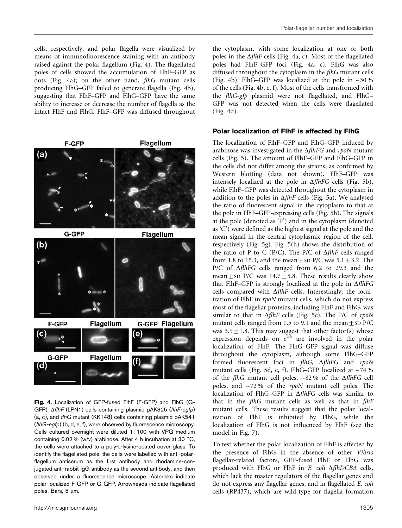cells, respectively, and polar flagella were visualized by means of immunofluorescence staining with an antibody raised against the polar flagellum (Fig. 4). The flagellated poles of cells showed the accumulation of FlhF–GFP as dots (Fig. 4a); on the other hand, flhG mutant cells producing FlhG–GFP failed to generate flagella (Fig. 4b), suggesting that FlhF–GFP and FlhG–GFP have the same ability to increase or decrease the number of flagella as the intact FlhF and FlhG. FlhF–GFP was diffused throughout

Flagellum **F-GFP**  $(a)$ G-GFP Flagellum  $(b)$ G-GFP Flagellum F-GFP **Flagellum**  $(c)$ G-GFP **Flagellum** (d)

Fig. 4. Localization of GFP-fused FlhF (F-GFP) and FlhG (G-GFP).  $\Delta f$ lhF (LPN1) cells containing plasmid pAK325 (flhF-egfp) (a, c), and flhG mutant (KK148) cells containing plasmid pAK541 (flhG-egfp) (b, d, e, f), were observed by fluorescence microscopy. Cells cultured overnight were diluted 1 : 100 with VPG medium containing 0.02 % (w/v) arabinose. After 4 h incubation at 30  $^{\circ}$ C, the cells were attached to a poly-L-lysine-coated cover glass. To identify the flagellated pole, the cells were labelled with anti-polarflagellum antiserum as the first antibody and rhodamine-conjugated anti-rabbit IgG antibody as the second antibody, and then observed under a fluorescence microscope. Asterisks indicate polar-localized F-GFP or G-GFP. Arrowheads indicate flagellated poles. Bars, 5 µm.

the cytoplasm, with some localization at one or both poles in the  $\Delta f l h$ F cells (Fig. 4a, c). Most of the flagellated poles had FlhF–GFP foci (Fig. 4a, c). FlhG was also diffused throughout the cytoplasm in the flhG mutant cells (Fig. 4b). FlhG–GFP was localized at the pole in  $\sim$ 30% of the cells (Fig. 4b, e, f). Most of the cells transformed with the flhG-gfp plasmid were not flagellated, and FlhG– GFP was not detected when the cells were flagellated (Fig. 4d).

## Polar localization of FlhF is affected by FlhG

The localization of FlhF–GFP and FlhG–GFP induced by arabinose was investigated in the  $\Delta f$ thFG and rpoN mutant cells (Fig. 5). The amount of FlhF–GFP and FlhG–GFP in the cells did not differ among the strains, as confirmed by Western blotting (data not shown). FlhF–GFP was intensely localized at the pole in  $\Delta f$ lhFG cells (Fig. 5b), while FlhF–GFP was detected throughout the cytoplasm in addition to the poles in  $\Delta f$ thF cells (Fig. 5a). We analysed the ratio of fluorescent signal in the cytoplasm to that at the pole in FlhF–GFP-expressing cells (Fig. 5h). The signals at the pole (denoted as 'P') and in the cytoplasm (denoted as 'C') were defined as the highest signal at the pole and the mean signal in the central cytoplasmic region of the cell, respectively (Fig. 5g). Fig. 5(h) shows the distribution of the ratio of P to C (P/C). The P/C of  $\Delta f \, h \, F$  cells ranged from 1.8 to 15.3, and the mean  $+$  sp  $P/C$  was  $5.1 + 3.2$ . The P/C of  $\Delta f l h FG$  cells ranged from 6.2 to 29.3 and the mean + sp  $P/C$  was 14.7 + 5.8. These results clearly show that FlhF-GFP is strongly localized at the pole in  $\Delta flhFG$ cells compared with  $\Delta f \, h \, F$  cells. Interestingly, the localization of FlhF in rpoN mutant cells, which do not express most of the flagellar proteins, including FlhF and FlhG, was similar to that in  $\Delta f \, h \, F$  cells (Fig. 5c). The P/C of rpoN mutant cells ranged from 1.5 to 9.1 and the mean  $\pm$  SD P/C was  $3.9 \pm 1.8$ . This may suggest that other factor(s) whose expression depends on  $\sigma^{54}$  are involved in the polar localization of FlhF. The FlhG–GFP signal was diffuse throughout the cytoplasm, although some FlhG–GFP formed fluorescent foci in  $flhG$ ,  $\Delta flhFG$  and rpoN mutant cells (Fig. 5d, e, f). FlhG–GFP localized at  $\sim$ 74% of the flhG mutant cell poles,  $\sim 82\%$  of the  $\Delta$ flhFG cell poles, and ~72 % of the rpoN mutant cell poles. The localization of FlhG–GFP in  $\Delta f l h FG$  cells was similar to that in the flhG mutant cells as well as that in flhF mutant cells. These results suggest that the polar localization of FlhF is inhibited by FlhG, while the localization of FlhG is not influenced by FlhF (see the model in Fig. 7).

To test whether the polar localization of FlhF is affected by the presence of FlhG in the absence of other Vibrio flagellar-related factors, GFP-fused FlhF or FlhG was produced with FlhG or FlhF in E. coli  $\Delta f$ lhDCBA cells, which lack the master regulators of the flagellar genes and do not express any flagellar genes, and in flagellated E. coli cells (RP437), which are wild-type for flagella formation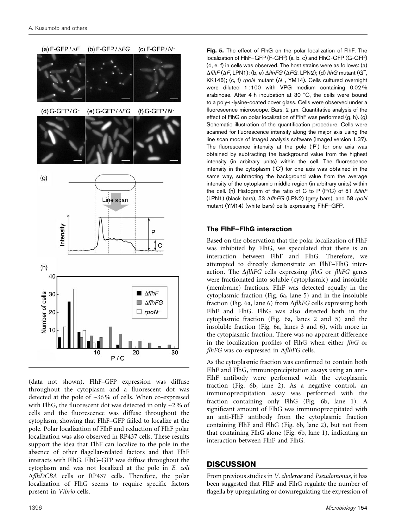

(data not shown). FlhF–GFP expression was diffuse throughout the cytoplasm and a fluorescent dot was detected at the pole of ~36 % of cells. When co-expressed with FlhG, the fluorescent dot was detected in only  $\sim$ 2 % of cells and the fluorescence was diffuse throughout the cytoplasm, showing that FlhF–GFP failed to localize at the pole. Polar localization of FlhF and reduction of FlhF polar localization was also observed in RP437 cells. These results support the idea that FlhF can localize to the pole in the absence of other flagellar-related factors and that FlhF interacts with FlhG. FlhG–GFP was diffuse throughout the cytoplasm and was not localized at the pole in E. coli  $\Delta f$ lhDCBA cells or RP437 cells. Therefore, the polar localization of FlhG seems to require specific factors present in Vibrio cells.

Fig. 5. The effect of FlhG on the polar localization of FlhF. The localization of FlhF–GFP (F-GFP) (a, b, c) and FlhG-GFP (G-GFP) (d, e, f) in cells was observed. The host strains were as follows: (a)  $\Delta f$ lhF( $\Delta$ F, LPN1); (b, e)  $\Delta f$ lhFG( $\Delta$ FG, LPN2); (d) flhG mutant (G<sup>-</sup>, KK148); (c, f) rpoN mutant (N<sup>-</sup>, YM14). Cells cultured overnight were diluted 1 : 100 with VPG medium containing 0.02 % arabinose. After 4 h incubation at 30 °C, the cells were bound to a poly-L-lysine-coated cover glass. Cells were observed under a fluorescence microscope. Bars, 2 µm. Quantitative analysis of the effect of FlhG on polar localization of FlhF was performed (g, h). (g) Schematic illustration of the quantification procedure. Cells were scanned for fluorescence intensity along the major axis using the line scan mode of ImageJ analysis software (ImageJ version 1.37). The fluorescence intensity at the pole ('P') for one axis was obtained by subtracting the background value from the highest intensity (in arbitrary units) within the cell. The fluorescence intensity in the cytoplasm ('C') for one axis was obtained in the same way, subtracting the background value from the average intensity of the cytoplasmic middle region (in arbitrary units) within the cell. (h) Histogram of the ratio of C to P (P/C) of 51  $\Delta$ flhF (LPN1) (black bars), 53  $\Delta$ flhFG (LPN2) (grey bars), and 58 rpoN mutant (YM14) (white bars) cells expressing FlhF–GFP.

#### The FlhF–FlhG interaction

Based on the observation that the polar localization of FlhF was inhibited by FlhG, we speculated that there is an interaction between FlhF and FlhG. Therefore, we attempted to directly demonstrate an FlhF–FlhG interaction. The  $\Delta f l h FG$  cells expressing flhG or flhFG genes were fractionated into soluble (cytoplasmic) and insoluble (membrane) fractions. FlhF was detected equally in the cytoplasmic fraction (Fig. 6a, lane 5) and in the insoluble fraction (Fig. 6a, lane 6) from  $\Delta f l h FG$  cells expressing both FlhF and FlhG. FlhG was also detected both in the cytoplasmic fraction (Fig. 6a, lanes 2 and 5) and the insoluble fraction (Fig. 6a, lanes 3 and 6), with more in the cytoplasmic fraction. There was no apparent difference in the localization profiles of FlhG when either flhG or flhFG was co-expressed in  $\Delta$ flhFG cells.

As the cytoplasmic fraction was confirmed to contain both FlhF and FlhG, immunoprecipitation assays using an anti-FlhF antibody were performed with the cytoplasmic fraction (Fig. 6b, lane 2). As a negative control, an immunoprecipitation assay was performed with the fraction containing only FlhG (Fig. 6b, lane 1). A significant amount of FlhG was immunoprecipitated with an anti-FlhF antibody from the cytoplasmic fraction containing FlhF and FlhG (Fig. 6b, lane 2), but not from that containing FlhG alone (Fig. 6b, lane 1), indicating an interaction between FlhF and FlhG.

#### **DISCUSSION**

From previous studies in V. cholerae and Pseudomonas, it has been suggested that FlhF and FlhG regulate the number of flagella by upregulating or downregulating the expression of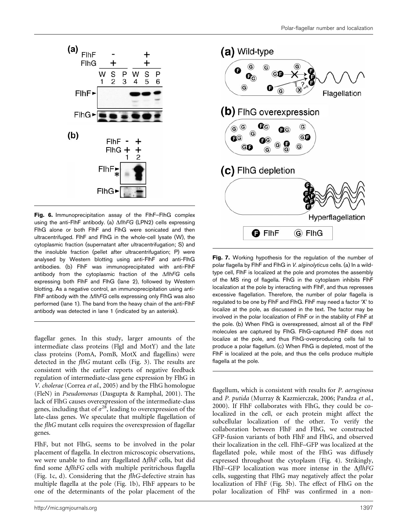

Fig. 6. Immunoprecipitation assay of the FlhF–FlhG complex using the anti-FlhF antibody. (a)  $\Delta$ flhFG (LPN2) cells expressing FlhG alone or both FlhF and FlhG were sonicated and then ultracentrifuged. FlhF and FlhG in the whole-cell lysate (W), the cytoplasmic fraction (supernatant after ultracentrifugation; S) and the insoluble fraction (pellet after ultracentrifugation; P) were analysed by Western blotting using anti-FlhF and anti-FlhG antibodies. (b) FlhF was immunoprecipitated with anti-FlhF antibody from the cytoplasmic fraction of the  $\Delta f / HFG$  cells expressing both FlhF and FlhG (lane 2), followed by Western blotting. As a negative control, an immunoprecipitation using anti-FlhF antibody with the  $\Delta$ flhFG cells expressing only FlhG was also performed (lane 1). The band from the heavy chain of the anti-FlhF antibody was detected in lane 1 (indicated by an asterisk).

flagellar genes. In this study, larger amounts of the intermediate class proteins (FlgI and MotY) and the late class proteins (PomA, PomB, MotX and flagellins) were detected in the flhG mutant cells (Fig. 3). The results are consistent with the earlier reports of negative feedback regulation of intermediate-class gene expression by FlhG in V. cholerae (Correa et al., 2005) and by the FlhG homologue (FleN) in Pseudomonas (Dasgupta & Ramphal, 2001). The lack of FlhG causes overexpression of the intermediate-class genes, including that of  $\sigma^{28}$ , leading to overexpression of the late-class genes. We speculate that multiple flagellation of the flhG mutant cells requires the overexpression of flagellar genes.

FlhF, but not FlhG, seems to be involved in the polar placement of flagella. In electron microscopic observations, we were unable to find any flagellated  $\Delta f$ lhF cells, but did find some  $\Delta f$ lhFG cells with multiple peritrichous flagella (Fig. 1c, d). Considering that the flhG-defective strain has multiple flagella at the pole (Fig. 1b), FlhF appears to be one of the determinants of the polar placement of the



Fig. 7. Working hypothesis for the regulation of the number of polar flagella by FlhF and FlhG in V. alginolyticus cells. (a) In a wildtype cell, FlhF is localized at the pole and promotes the assembly of the MS ring of flagella. FlhG in the cytoplasm inhibits FlhF localization at the pole by interacting with FlhF, and thus represses excessive flagellation. Therefore, the number of polar flagella is regulated to be one by FlhF and FlhG. FlhF may need a factor 'X' to localize at the pole, as discussed in the text. The factor may be involved in the polar localization of FlhF or in the stability of FlhF at the pole. (b) When FlhG is overexpressed, almost all of the FlhF molecules are captured by FlhG. FlhG-captured FlhF does not localize at the pole, and thus FlhG-overproducing cells fail to produce a polar flagellum. (c) When FlhG is depleted, most of the FlhF is localized at the pole, and thus the cells produce multiple flagella at the pole.

flagellum, which is consistent with results for P. aeruginosa and P. putida (Murray & Kazmierczak, 2006; Pandza et al., 2000). If FlhF collaborates with FlhG, they could be colocalized in the cell, or each protein might affect the subcellular localization of the other. To verify the collaboration between FlhF and FlhG, we constructed GFP-fusion variants of both FlhF and FlhG, and observed their localization in the cell. FlhF–GFP was localized at the flagellated pole, while most of the FlhG was diffusely expressed throughout the cytoplasm (Fig. 4). Strikingly, FlhF–GFP localization was more intense in the  $\Delta f l h F G$ cells, suggesting that FlhG may negatively affect the polar localization of FlhF (Fig. 5b). The effect of FlhG on the polar localization of FlhF was confirmed in a non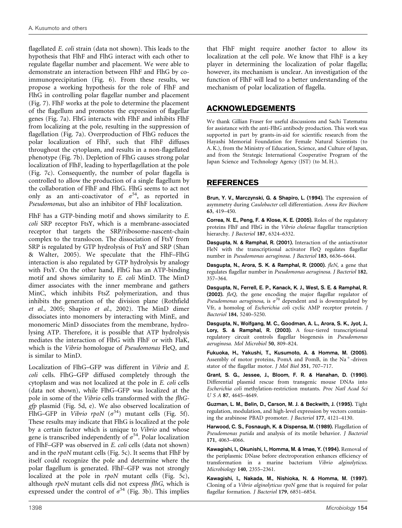flagellated *E. coli* strain (data not shown). This leads to the hypothesis that FlhF and FlhG interact with each other to regulate flagellar number and placement. We were able to demonstrate an interaction between FlhF and FlhG by coimmunoprecipitation (Fig. 6). From these results, we propose a working hypothesis for the role of FlhF and FlhG in controlling polar flagellar number and placement (Fig. 7). FlhF works at the pole to determine the placement of the flagellum and promotes the expression of flagellar genes (Fig. 7a). FlhG interacts with FlhF and inhibits FlhF from localizing at the pole, resulting in the suppression of flagellation (Fig. 7a). Overproduction of FlhG reduces the polar localization of FlhF, such that FlhF diffuses throughout the cytoplasm, and results in a non-flagellated phenotype (Fig. 7b). Depletion of FlhG causes strong polar localization of FlhF, leading to hyperflagellation at the pole (Fig. 7c). Consequently, the number of polar flagella is controlled to allow the production of a single flagellum by the collaboration of FlhF and FlhG. FlhG seems to act not only as an anti-coactivator of  $\sigma^{54}$ , as reported in Pseudomonas, but also an inhibitor of FlhF localization.

FlhF has a GTP-binding motif and shows similarity to E. coli SRP receptor FtsY, which is a membrane-associated receptor that targets the SRP/ribosome-nascent-chain complex to the translocon. The dissociation of FtsY from SRP is regulated by GTP hydrolysis of FtsY and SRP (Shan & Walter, 2005). We speculate that the FlhF–FlhG interaction is also regulated by GTP hydrolysis by analogy with FtsY. On the other hand, FlhG has an ATP-binding motif and shows similarity to E. coli MinD. The MinD dimer associates with the inner membrane and gathers MinC, which inhibits FtsZ polymerization, and thus inhibits the generation of the division plane (Rothfield et al., 2005; Shapiro et al., 2002). The MinD dimer dissociates into monomers by interacting with MinE, and monomeric MinD dissociates from the membrane, hydrolysing ATP. Therefore, it is possible that ATP hydrolysis mediates the interaction of FlhG with FlhF or with FlaK, which is the Vibrio homologue of Pseudomonas FleQ, and is similar to MinD.

Localization of FlhG–GFP was different in Vibrio and E. coli cells. FlhG–GFP diffused completely through the cytoplasm and was not localized at the pole in E. coli cells (data not shown), while FlhG–GFP was localized at the pole in some of the Vibrio cells transformed with the flhGgfp plasmid (Fig. 5d, e). We also observed localization of FlhG–GFP in Vibrio rpoN  $(\sigma^{54})$  mutant cells (Fig. 5f). These results may indicate that FlhG is localized at the pole by a certain factor which is unique to Vibrio and whose gene is transcribed independently of  $\sigma^{54}$ . Polar localization of FlhF–GFP was observed in E. coli cells (data not shown) and in the rpoN mutant cells (Fig. 5c). It seems that FlhF by itself could recognize the pole and determine where the polar flagellum is generated. FlhF–GFP was not strongly localized at the pole in rpoN mutant cells (Fig. 5c), although rpoN mutant cells did not express flhG, which is expressed under the control of  $\sigma^{54}$  (Fig. 3b). This implies

that FlhF might require another factor to allow its localization at the cell pole. We know that FlhF is a key player in determining the localization of polar flagella; however, its mechanism is unclear. An investigation of the function of FlhF will lead to a better understanding of the mechanism of polar localization of flagella.

# ACKNOWLEDGEMENTS

We thank Gillian Fraser for useful discussions and Sachi Tatematsu for assistance with the anti-FlhG antibody production. This work was supported in part by grants-in-aid for scientific research from the Hayashi Memorial Foundation for Female Natural Scientists (to A. K.), from the Ministry of Education, Science, and Culture of Japan, and from the Strategic International Cooperative Program of the Japan Science and Technology Agency (JST) (to M. H.).

## REFERENCES

Brun, Y. V., Marczynski, G. & Shapiro, L. (1994). The expression of asymmetry during Caulobacter cell differentiation. Annu Rev Biochem 63, 419–450.

Correa, N. E., Peng, F. & Klose, K. E. (2005). Roles of the regulatory proteins FlhF and FlhG in the Vibrio cholerae flagellar transcription hierarchy. J Bacteriol 187, 6324-6332.

Dasgupta, N. & Ramphal, R. (2001). Interaction of the antiactivator FleN with the transcriptional activator FleQ regulates flagellar number in Pseudomonas aeruginosa. J Bacteriol 183, 6636–6644.

Dasgupta, N., Arora, S. K. & Ramphal, R. (2000). fleN, a gene that regulates flagellar number in Pseudomonas aeruginosa. J Bacteriol 182, 357–364.

Dasgupta, N., Ferrell, E. P., Kanack, K. J., West, S. E. & Ramphal, R. (2002). fleQ, the gene encoding the major flagellar regulator of Pseudomonas aeruginosa, is  $\sigma^{70}$  dependent and is downregulated by Vfr, a homolog of Escherichia coli cyclic AMP receptor protein. J Bacteriol 184, 5240–5250.

Dasgupta, N., Wolfgang, M. C., Goodman, A. L., Arora, S. K., Jyot, J., Lory, S. & Ramphal, R. (2003). A four-tiered transcriptional regulatory circuit controls flagellar biogenesis in Pseudomonas aeruginosa. Mol Microbiol 50, 809–824.

Fukuoka, H., Yakushi, T., Kusumoto, A. & Homma, M. (2005). Assembly of motor proteins, PomA and PomB, in the  $Na<sup>+</sup>$ -driven stator of the flagellar motor. J Mol Biol 351, 707–717.

Grant, S. G., Jessee, J., Bloom, F. R. & Hanahan, D. (1990). Differential plasmid rescue from transgenic mouse DNAs into Escherichia coli methylation-restriction mutants. Proc Natl Acad Sci U S A 87, 4645-4649.

Guzman, L. M., Belin, D., Carson, M. J. & Beckwith, J. (1995). Tight regulation, modulation, and high-level expression by vectors containing the arabinose PBAD promoter. J Bacteriol 177, 4121–4130.

Harwood, C. S., Fosnaugh, K. & Dispensa, M. (1989). Flagellation of Pseudomonas putida and analysis of its motile behavior. J Bacteriol 171, 4063–4066.

Kawagishi, I., Okunishi, I., Homma, M. & Imae, Y. (1994). Removal of the periplasmic DNase before electroporation enhances efficiency of transformation in a marine bacterium Vibrio alginolyticus. Microbiology 140, 2355–2361.

Kawagishi, I., Nakada, M., Nishioka, N. & Homma, M. (1997). Cloning of a Vibrio alginolyticus rpoN gene that is required for polar flagellar formation. J Bacteriol 179, 6851–6854.